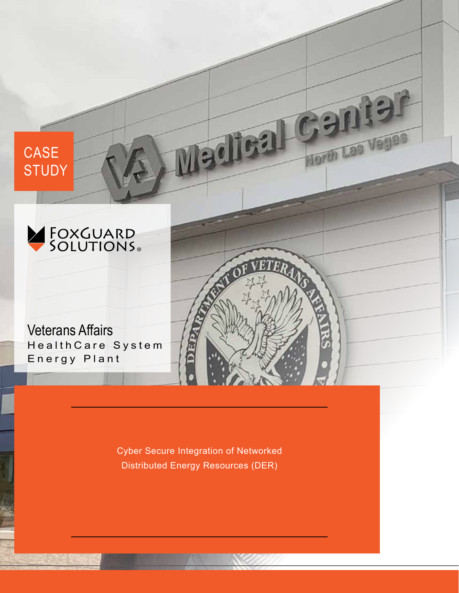

**CASE** 

**STUDY** 

Veterans Affairs HealthCare System Energy Plant

> Cyber Secure Integration of Networked Distributed Energy Resources (DER)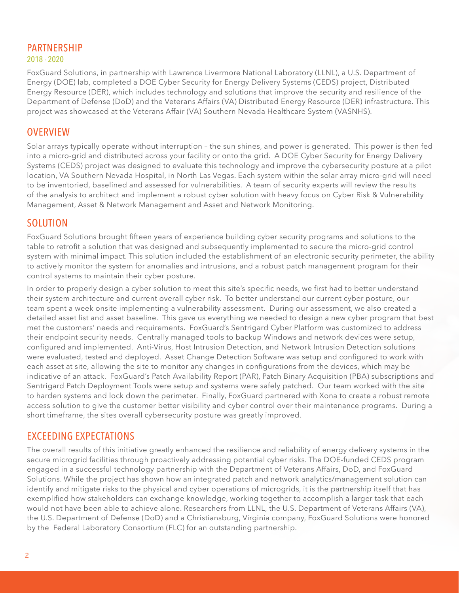# PARTNERSHIP

#### 2018 - 2020

FoxGuard Solutions, in partnership with Lawrence Livermore National Laboratory (LLNL), a U.S. Department of Energy (DOE) lab, completed a DOE Cyber Security for Energy Delivery Systems (CEDS) project, Distributed Energy Resource (DER), which includes technology and solutions that improve the security and resilience of the Department of Defense (DoD) and the Veterans Affairs (VA) Distributed Energy Resource (DER) infrastructure. This project was showcased at the Veterans Affair (VA) Southern Nevada Healthcare System (VASNHS).

#### **OVERVIEW**

Solar arrays typically operate without interruption – the sun shines, and power is generated. This power is then fed into a micro-grid and distributed across your facility or onto the grid. A DOE Cyber Security for Energy Delivery Systems (CEDS) project was designed to evaluate this technology and improve the cybersecurity posture at a pilot location, VA Southern Nevada Hospital, in North Las Vegas. Each system within the solar array micro-grid will need to be inventoried, baselined and assessed for vulnerabilities. A team of security experts will review the results of the analysis to architect and implement a robust cyber solution with heavy focus on Cyber Risk & Vulnerability Management, Asset & Network Management and Asset and Network Monitoring.

### SOLUTION

FoxGuard Solutions brought fifteen years of experience building cyber security programs and solutions to the table to retrofit a solution that was designed and subsequently implemented to secure the micro-grid control system with minimal impact. This solution included the establishment of an electronic security perimeter, the ability to actively monitor the system for anomalies and intrusions, and a robust patch management program for their control systems to maintain their cyber posture.

In order to properly design a cyber solution to meet this site's specific needs, we first had to better understand their system architecture and current overall cyber risk. To better understand our current cyber posture, our team spent a week onsite implementing a vulnerability assessment. During our assessment, we also created a detailed asset list and asset baseline. This gave us everything we needed to design a new cyber program that best met the customers' needs and requirements. FoxGuard's Sentrigard Cyber Platform was customized to address their endpoint security needs. Centrally managed tools to backup Windows and network devices were setup, configured and implemented. Anti-Virus, Host Intrusion Detection, and Network Intrusion Detection solutions were evaluated, tested and deployed. Asset Change Detection Software was setup and configured to work with each asset at site, allowing the site to monitor any changes in configurations from the devices, which may be indicative of an attack. FoxGuard's Patch Availability Report (PAR), Patch Binary Acquisition (PBA) subscriptions and Sentrigard Patch Deployment Tools were setup and systems were safely patched. Our team worked with the site to harden systems and lock down the perimeter. Finally, FoxGuard partnered with Xona to create a robust remote access solution to give the customer better visibility and cyber control over their maintenance programs. During a short timeframe, the sites overall cybersecurity posture was greatly improved.

## EXCEEDING EXPECTATIONS

The overall results of this initiative greatly enhanced the resilience and reliability of energy delivery systems in the secure microgrid facilities through proactively addressing potential cyber risks. The DOE-funded CEDS program engaged in a successful technology partnership with the Department of Veterans Affairs, DoD, and FoxGuard Solutions. While the project has shown how an integrated patch and network analytics/management solution can identify and mitigate risks to the physical and cyber operations of microgrids, it is the partnership itself that has exemplified how stakeholders can exchange knowledge, working together to accomplish a larger task that each would not have been able to achieve alone. Researchers from LLNL, the U.S. Department of Veterans Affairs (VA), the U.S. Department of Defense (DoD) and a Christiansburg, Virginia company, FoxGuard Solutions were honored by the Federal Laboratory Consortium (FLC) for an outstanding partnership.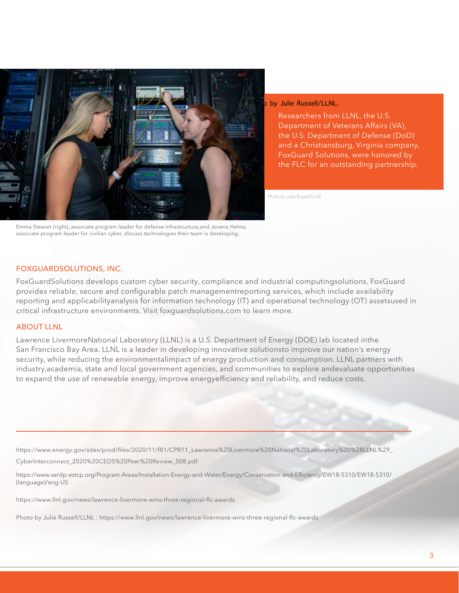

Emma Stewart (right), associate program leader for defense infrastructure,and Jovana Helms, associate program leader for civilian cyber, discuss technologies their team is developing.

by Julie Russell/LLNL.

Researchers from LLNL, the U.S. Department of Veterans Affairs (VA), the U.S. Department of Defense (DoD) and a Christiansburg, Virginia company, FoxGuard Solutions, were honored by the FLC for an outstanding partnership.

*Photo by Julie Russell/LLNL.*

#### FOXGUARDSOLUTIONS, INC.

FoxGuardSolutions develops custom cyber security, compliance and industrial computingsolutions. FoxGuard provides reliable, secure and configurable patch managementreporting services, which include availability reporting and applicabilityanalysis for information technology (IT) and operational technology (OT) assetsused in critical infrastructure environments. Visit foxguardsolutions.com to learn more.

#### **ABOUT LLNL**

Lawrence LivermoreNational Laboratory (LLNL) is a U.S. Department of Energy (DOE) lab located inthe San Francisco Bay Area. LLNL is a leader in developing innovative solutionsto improve our nation's energy security, while reducing the environmentalimpact of energy production and consumption. LLNL partners with industry,academia, state and local government agencies, and communities to explore andevaluate opportunities to expand the use of renewable energy, improve energyefficiency and reliability, and reduce costs.

https://www.energy.gov/sites/prod/files/2020/11/f81/CPR11\_Lawrence%20Livermore%20National%20Laboratory%20%28LLNL%29\_ CyberInterconnect\_2020%20CEDS%20Peer%20Review\_508.pdf

https://www.serdp-estcp.org/Program-Areas/Installation-Energy-and-Water/Energy/Conservation-and-Efficiency/EW18-5310/EW18-5310/ (language)/eng-US

https://www.llnl.gov/news/lawrence-livermore-wins-three-regional-flc-awards

Photo by Julie Russell/LLNL : https://www.llnl.gov/news/lawrence-livermore-wins-three-regional-flc-awards